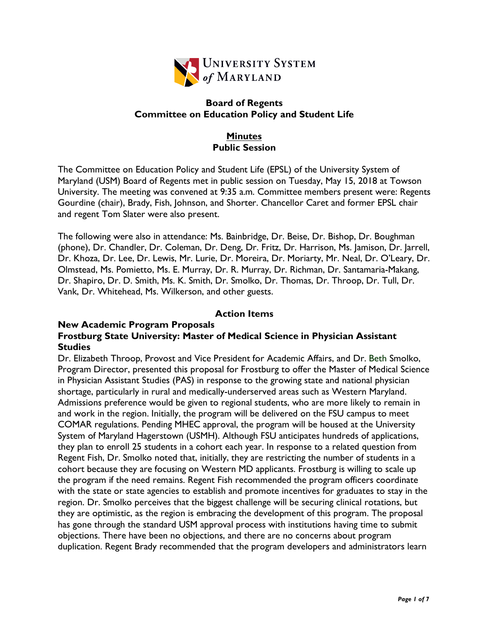

## **Board of Regents Committee on Education Policy and Student Life**

# **Minutes Public Session**

The Committee on Education Policy and Student Life (EPSL) of the University System of Maryland (USM) Board of Regents met in public session on Tuesday, May 15, 2018 at Towson University. The meeting was convened at 9:35 a.m. Committee members present were: Regents Gourdine (chair), Brady, Fish, Johnson, and Shorter. Chancellor Caret and former EPSL chair and regent Tom Slater were also present.

The following were also in attendance: Ms. Bainbridge, Dr. Beise, Dr. Bishop, Dr. Boughman (phone), Dr. Chandler, Dr. Coleman, Dr. Deng, Dr. Fritz, Dr. Harrison, Ms. Jamison, Dr. Jarrell, Dr. Khoza, Dr. Lee, Dr. Lewis, Mr. Lurie, Dr. Moreira, Dr. Moriarty, Mr. Neal, Dr. O'Leary, Dr. Olmstead, Ms. Pomietto, Ms. E. Murray, Dr. R. Murray, Dr. Richman, Dr. Santamaria-Makang, Dr. Shapiro, Dr. D. Smith, Ms. K. Smith, Dr. Smolko, Dr. Thomas, Dr. Throop, Dr. Tull, Dr. Vank, Dr. Whitehead, Ms. Wilkerson, and other guests.

# **Action Items**

### **New Academic Program Proposals Frostburg State University: Master of Medical Science in Physician Assistant Studies**

Dr. Elizabeth Throop, Provost and Vice President for Academic Affairs, and Dr. Beth Smolko, Program Director, presented this proposal for Frostburg to offer the Master of Medical Science in Physician Assistant Studies (PAS) in response to the growing state and national physician shortage, particularly in rural and medically-underserved areas such as Western Maryland. Admissions preference would be given to regional students, who are more likely to remain in and work in the region. Initially, the program will be delivered on the FSU campus to meet COMAR regulations. Pending MHEC approval, the program will be housed at the University System of Maryland Hagerstown (USMH). Although FSU anticipates hundreds of applications, they plan to enroll 25 students in a cohort each year. In response to a related question from Regent Fish, Dr. Smolko noted that, initially, they are restricting the number of students in a cohort because they are focusing on Western MD applicants. Frostburg is willing to scale up the program if the need remains. Regent Fish recommended the program officers coordinate with the state or state agencies to establish and promote incentives for graduates to stay in the region. Dr. Smolko perceives that the biggest challenge will be securing clinical rotations, but they are optimistic, as the region is embracing the development of this program. The proposal has gone through the standard USM approval process with institutions having time to submit objections. There have been no objections, and there are no concerns about program duplication. Regent Brady recommended that the program developers and administrators learn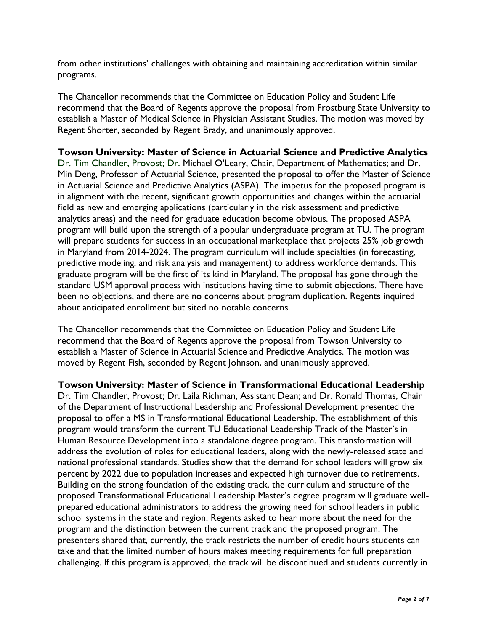from other institutions' challenges with obtaining and maintaining accreditation within similar programs.

The Chancellor recommends that the Committee on Education Policy and Student Life recommend that the Board of Regents approve the proposal from Frostburg State University to establish a Master of Medical Science in Physician Assistant Studies. The motion was moved by Regent Shorter, seconded by Regent Brady, and unanimously approved.

### **Towson University: Master of Science in Actuarial Science and Predictive Analytics**

Dr. Tim Chandler, Provost; Dr. Michael O'Leary, Chair, Department of Mathematics; and Dr. Min Deng, Professor of Actuarial Science, presented the proposal to offer the Master of Science in Actuarial Science and Predictive Analytics (ASPA). The impetus for the proposed program is in alignment with the recent, significant growth opportunities and changes within the actuarial field as new and emerging applications (particularly in the risk assessment and predictive analytics areas) and the need for graduate education become obvious. The proposed ASPA program will build upon the strength of a popular undergraduate program at TU. The program will prepare students for success in an occupational marketplace that projects 25% job growth in Maryland from 2014-2024. The program curriculum will include specialties (in forecasting, predictive modeling, and risk analysis and management) to address workforce demands. This graduate program will be the first of its kind in Maryland. The proposal has gone through the standard USM approval process with institutions having time to submit objections. There have been no objections, and there are no concerns about program duplication. Regents inquired about anticipated enrollment but sited no notable concerns.

The Chancellor recommends that the Committee on Education Policy and Student Life recommend that the Board of Regents approve the proposal from Towson University to establish a Master of Science in Actuarial Science and Predictive Analytics. The motion was moved by Regent Fish, seconded by Regent Johnson, and unanimously approved.

**Towson University: Master of Science in Transformational Educational Leadership** Dr. Tim Chandler, Provost; Dr. Laila Richman, Assistant Dean; and Dr. Ronald Thomas, Chair of the Department of Instructional Leadership and Professional Development presented the proposal to offer a MS in Transformational Educational Leadership. The establishment of this program would transform the current TU Educational Leadership Track of the Master's in Human Resource Development into a standalone degree program. This transformation will address the evolution of roles for educational leaders, along with the newly-released state and national professional standards. Studies show that the demand for school leaders will grow six percent by 2022 due to population increases and expected high turnover due to retirements. Building on the strong foundation of the existing track, the curriculum and structure of the proposed Transformational Educational Leadership Master's degree program will graduate wellprepared educational administrators to address the growing need for school leaders in public school systems in the state and region. Regents asked to hear more about the need for the program and the distinction between the current track and the proposed program. The presenters shared that, currently, the track restricts the number of credit hours students can take and that the limited number of hours makes meeting requirements for full preparation challenging. If this program is approved, the track will be discontinued and students currently in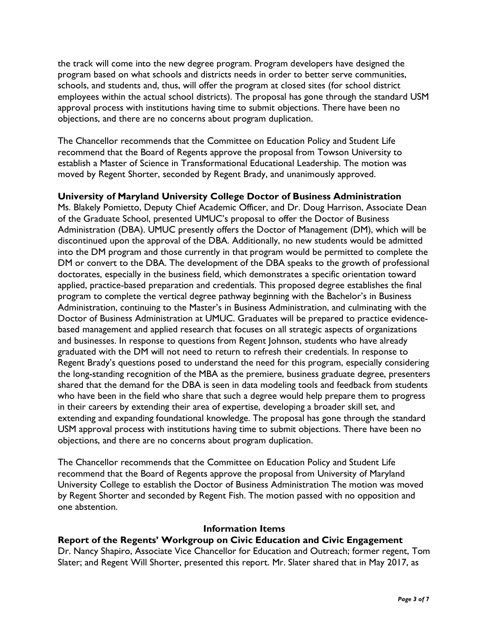the track will come into the new degree program. Program developers have designed the program based on what schools and districts needs in order to better serve communities, schools, and students and, thus, will offer the program at closed sites (for school district employees within the actual school districts). The proposal has gone through the standard USM approval process with institutions having time to submit objections. There have been no objections, and there are no concerns about program duplication.

The Chancellor recommends that the Committee on Education Policy and Student Life recommend that the Board of Regents approve the proposal from Towson University to establish a Master of Science in Transformational Educational Leadership. The motion was moved by Regent Shorter, seconded by Regent Brady, and unanimously approved.

## **University of Maryland University College Doctor of Business Administration**

Ms. Blakely Pomietto, Deputy Chief Academic Officer, and Dr. Doug Harrison, Associate Dean of the Graduate School, presented UMUC's proposal to offer the Doctor of Business Administration (DBA). UMUC presently offers the Doctor of Management (DM), which will be discontinued upon the approval of the DBA. Additionally, no new students would be admitted into the DM program and those currently in that program would be permitted to complete the DM or convert to the DBA. The development of the DBA speaks to the growth of professional doctorates, especially in the business field, which demonstrates a specific orientation toward applied, practice-based preparation and credentials. This proposed degree establishes the final program to complete the vertical degree pathway beginning with the Bachelor's in Business Administration, continuing to the Master's in Business Administration, and culminating with the Doctor of Business Administration at UMUC. Graduates will be prepared to practice evidencebased management and applied research that focuses on all strategic aspects of organizations and businesses. In response to questions from Regent Johnson, students who have already graduated with the DM will not need to return to refresh their credentials. In response to Regent Brady's questions posed to understand the need for this program, especially considering the long-standing recognition of the MBA as the premiere, business graduate degree, presenters shared that the demand for the DBA is seen in data modeling tools and feedback from students who have been in the field who share that such a degree would help prepare them to progress in their careers by extending their area of expertise, developing a broader skill set, and extending and expanding foundational knowledge. The proposal has gone through the standard USM approval process with institutions having time to submit objections. There have been no objections, and there are no concerns about program duplication.

The Chancellor recommends that the Committee on Education Policy and Student Life recommend that the Board of Regents approve the proposal from University of Maryland University College to establish the Doctor of Business Administration The motion was moved by Regent Shorter and seconded by Regent Fish. The motion passed with no opposition and one abstention.

### **Information Items**

# **Report of the Regents' Workgroup on Civic Education and Civic Engagement**

Dr. Nancy Shapiro, Associate Vice Chancellor for Education and Outreach; former regent, Tom Slater; and Regent Will Shorter, presented this report. Mr. Slater shared that in May 2017, as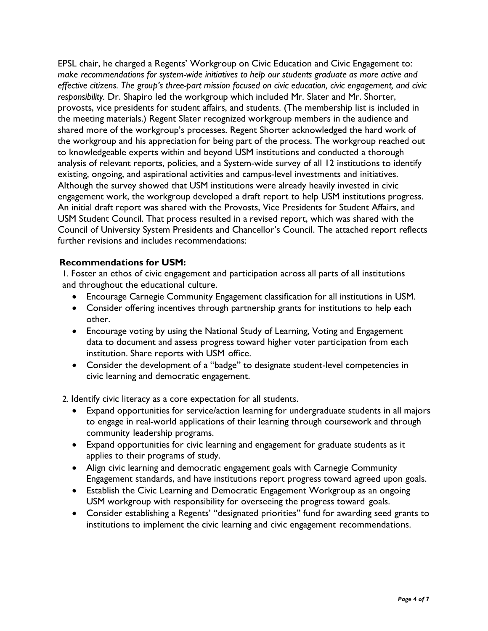EPSL chair, he charged a Regents' Workgroup on Civic Education and Civic Engagement to: *make recommendations for system-wide initiatives to help our students graduate as more active and effective citizens. The group's three-part mission focused on civic education, civic engagement, and civic responsibility.* Dr. Shapiro led the workgroup which included Mr. Slater and Mr. Shorter, provosts, vice presidents for student affairs, and students. (The membership list is included in the meeting materials.) Regent Slater recognized workgroup members in the audience and shared more of the workgroup's processes. Regent Shorter acknowledged the hard work of the workgroup and his appreciation for being part of the process. The workgroup reached out to knowledgeable experts within and beyond USM institutions and conducted a thorough analysis of relevant reports, policies, and a System-wide survey of all 12 institutions to identify existing, ongoing, and aspirational activities and campus-level investments and initiatives. Although the survey showed that USM institutions were already heavily invested in civic engagement work, the workgroup developed a draft report to help USM institutions progress. An initial draft report was shared with the Provosts, Vice Presidents for Student Affairs, and USM Student Council. That process resulted in a revised report, which was shared with the Council of University System Presidents and Chancellor's Council. The attached report reflects further revisions and includes recommendations:

## **Recommendations for USM:**

1. Foster an ethos of civic engagement and participation across all parts of all institutions and throughout the educational culture.

- Encourage Carnegie Community Engagement classification for all institutions in USM.
- Consider offering incentives through partnership grants for institutions to help each other.
- Encourage voting by using the National Study of Learning, Voting and Engagement data to document and assess progress toward higher voter participation from each institution. Share reports with USM office.
- Consider the development of a "badge" to designate student-level competencies in civic learning and democratic engagement.

2. Identify civic literacy as a core expectation for all students.

- Expand opportunities for service/action learning for undergraduate students in all majors to engage in real-world applications of their learning through coursework and through community leadership programs.
- Expand opportunities for civic learning and engagement for graduate students as it applies to their programs of study.
- Align civic learning and democratic engagement goals with Carnegie Community Engagement standards, and have institutions report progress toward agreed upon goals.
- Establish the Civic Learning and Democratic Engagement Workgroup as an ongoing USM workgroup with responsibility for overseeing the progress toward goals.
- Consider establishing a Regents' "designated priorities" fund for awarding seed grants to institutions to implement the civic learning and civic engagement recommendations.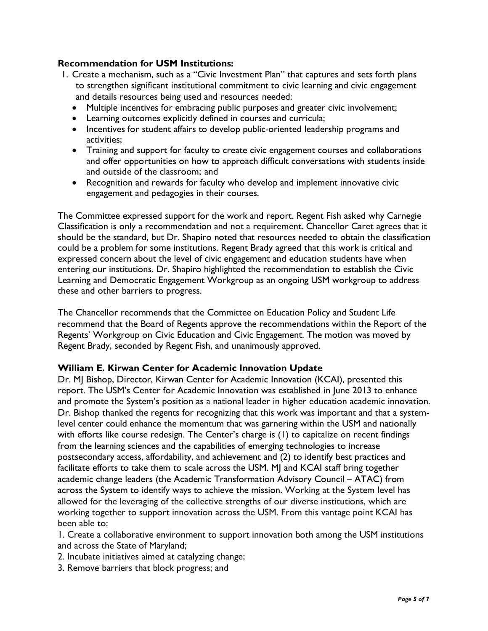# **Recommendation for USM Institutions:**

- 1. Create a mechanism, such as a "Civic Investment Plan" that captures and sets forth plans to strengthen significant institutional commitment to civic learning and civic engagement and details resources being used and resources needed:
	- Multiple incentives for embracing public purposes and greater civic involvement;
	- Learning outcomes explicitly defined in courses and curricula;
	- Incentives for student affairs to develop public-oriented leadership programs and activities;
	- Training and support for faculty to create civic engagement courses and collaborations and offer opportunities on how to approach difficult conversations with students inside and outside of the classroom; and
	- Recognition and rewards for faculty who develop and implement innovative civic engagement and pedagogies in their courses.

The Committee expressed support for the work and report. Regent Fish asked why Carnegie Classification is only a recommendation and not a requirement. Chancellor Caret agrees that it should be the standard, but Dr. Shapiro noted that resources needed to obtain the classification could be a problem for some institutions. Regent Brady agreed that this work is critical and expressed concern about the level of civic engagement and education students have when entering our institutions. Dr. Shapiro highlighted the recommendation to establish the Civic Learning and Democratic Engagement Workgroup as an ongoing USM workgroup to address these and other barriers to progress.

The Chancellor recommends that the Committee on Education Policy and Student Life recommend that the Board of Regents approve the recommendations within the Report of the Regents' Workgroup on Civic Education and Civic Engagement. The motion was moved by Regent Brady, seconded by Regent Fish, and unanimously approved.

### **William E. Kirwan Center for Academic Innovation Update**

Dr. MJ Bishop, Director, Kirwan Center for Academic Innovation (KCAI), presented this report. The USM's Center for Academic Innovation was established in June 2013 to enhance and promote the System's position as a national leader in higher education academic innovation. Dr. Bishop thanked the regents for recognizing that this work was important and that a systemlevel center could enhance the momentum that was garnering within the USM and nationally with efforts like course redesign. The Center's charge is (1) to capitalize on recent findings from the learning sciences and the capabilities of emerging technologies to increase postsecondary access, affordability, and achievement and (2) to identify best practices and facilitate efforts to take them to scale across the USM. MJ and KCAI staff bring together academic change leaders (the Academic Transformation Advisory Council – ATAC) from across the System to identify ways to achieve the mission. Working at the System level has allowed for the leveraging of the collective strengths of our diverse institutions, which are working together to support innovation across the USM. From this vantage point KCAI has been able to:

1. Create a collaborative environment to support innovation both among the USM institutions and across the State of Maryland;

- 2. Incubate initiatives aimed at catalyzing change;
- 3. Remove barriers that block progress; and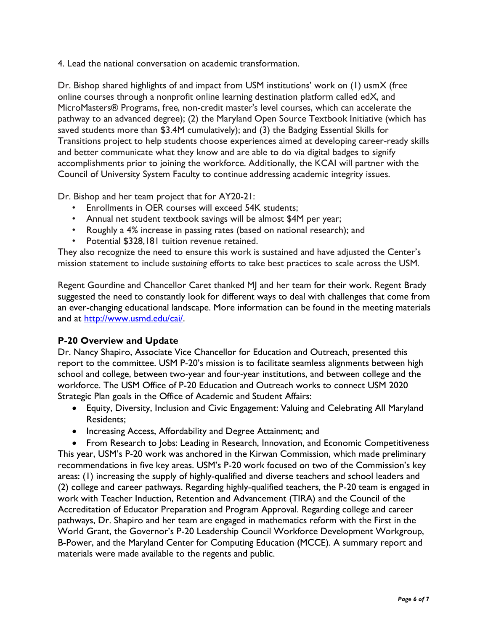4. Lead the national conversation on academic transformation.

Dr. Bishop shared highlights of and impact from USM institutions' work on (1) usmX (free online courses through a nonprofit online learning destination platform called edX, and MicroMasters® Programs, free, non-credit master's level courses, which can accelerate the pathway to an advanced degree); (2) the Maryland Open Source Textbook Initiative (which has saved students more than \$3.4M cumulatively); and (3) the Badging Essential Skills for Transitions project to help students choose experiences aimed at developing career-ready skills and better communicate what they know and are able to do via digital badges to signify accomplishments prior to joining the workforce. Additionally, the KCAI will partner with the Council of University System Faculty to continue addressing academic integrity issues.

Dr. Bishop and her team project that for AY20-21:

- Enrollments in OER courses will exceed 54K students;
- Annual net student textbook savings will be almost \$4M per year;
- Roughly a 4% increase in passing rates (based on national research); and
- Potential \$328,181 tuition revenue retained.

They also recognize the need to ensure this work is sustained and have adjusted the Center's mission statement to include *sustaining* efforts to take best practices to scale across the USM.

Regent Gourdine and Chancellor Caret thanked MJ and her team for their work. Regent Brady suggested the need to constantly look for different ways to deal with challenges that come from an ever-changing educational landscape. More information can be found in the meeting materials and at http://www.usmd.edu/cai/.

# **P-20 Overview and Update**

Dr. Nancy Shapiro, Associate Vice Chancellor for Education and Outreach, presented this report to the committee. USM P-20's mission is to facilitate seamless alignments between high school and college, between two-year and four-year institutions, and between college and the workforce. The USM Office of P-20 Education and Outreach works to connect USM 2020 Strategic Plan goals in the Office of Academic and Student Affairs:

- Equity, Diversity, Inclusion and Civic Engagement: Valuing and Celebrating All Maryland Residents;
- Increasing Access, Affordability and Degree Attainment; and

• From Research to Jobs: Leading in Research, Innovation, and Economic Competitiveness This year, USM's P-20 work was anchored in the Kirwan Commission, which made preliminary recommendations in five key areas. USM's P-20 work focused on two of the Commission's key areas: (1) increasing the supply of highly-qualified and diverse teachers and school leaders and (2) college and career pathways. Regarding highly-qualified teachers, the P-20 team is engaged in work with Teacher Induction, Retention and Advancement (TIRA) and the Council of the Accreditation of Educator Preparation and Program Approval. Regarding college and career pathways, Dr. Shapiro and her team are engaged in mathematics reform with the First in the World Grant, the Governor's P-20 Leadership Council Workforce Development Workgroup, B-Power, and the Maryland Center for Computing Education (MCCE). A summary report and materials were made available to the regents and public.